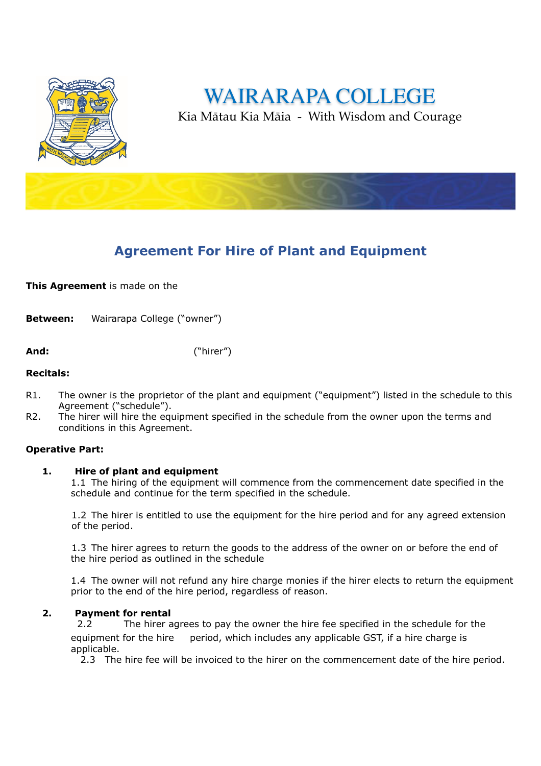

WAIRARAPA COLLEG

Kia Mātau Kia Māia - With Wisdom and Courage

# **Agreement For Hire of Plant and Equipment**

**This Agreement** is made on the

**Between:** Wairarapa College ("owner")

**And:** ("hirer")

## **Recitals:**

- R1. The owner is the proprietor of the plant and equipment ("equipment") listed in the schedule to this Agreement ("schedule").
- R2. The hirer will hire the equipment specified in the schedule from the owner upon the terms and conditions in this Agreement.

# **Operative Part:**

# **1. Hire of plant and equipment**

1.1 The hiring of the equipment will commence from the commencement date specified in the schedule and continue for the term specified in the schedule.

1.2 The hirer is entitled to use the equipment for the hire period and for any agreed extension of the period.

1.3 The hirer agrees to return the goods to the address of the owner on or before the end of the hire period as outlined in the schedule

1.4 The owner will not refund any hire charge monies if the hirer elects to return the equipment prior to the end of the hire period, regardless of reason.

#### **2. Payment for rental**

 2.2 The hirer agrees to pay the owner the hire fee specified in the schedule for the equipment for the hire period, which includes any applicable GST, if a hire charge is applicable.

2.3 The hire fee will be invoiced to the hirer on the commencement date of the hire period.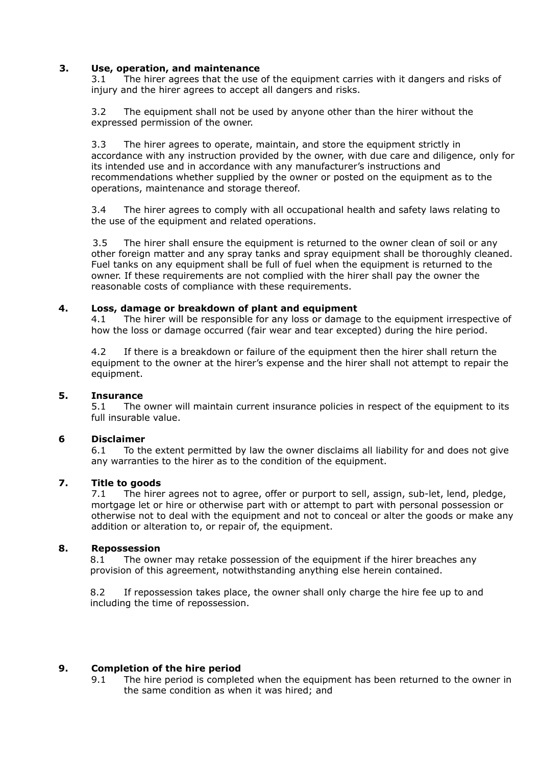## **3. Use, operation, and maintenance**

3.1 The hirer agrees that the use of the equipment carries with it dangers and risks of injury and the hirer agrees to accept all dangers and risks.

3.2 The equipment shall not be used by anyone other than the hirer without the expressed permission of the owner.

3.3 The hirer agrees to operate, maintain, and store the equipment strictly in accordance with any instruction provided by the owner, with due care and diligence, only for its intended use and in accordance with any manufacturer's instructions and recommendations whether supplied by the owner or posted on the equipment as to the operations, maintenance and storage thereof.

3.4 The hirer agrees to comply with all occupational health and safety laws relating to the use of the equipment and related operations.

 3.5 The hirer shall ensure the equipment is returned to the owner clean of soil or any other foreign matter and any spray tanks and spray equipment shall be thoroughly cleaned. Fuel tanks on any equipment shall be full of fuel when the equipment is returned to the owner. If these requirements are not complied with the hirer shall pay the owner the reasonable costs of compliance with these requirements.

#### **4. Loss, damage or breakdown of plant and equipment**

4.1 The hirer will be responsible for any loss or damage to the equipment irrespective of how the loss or damage occurred (fair wear and tear excepted) during the hire period.

4.2 If there is a breakdown or failure of the equipment then the hirer shall return the equipment to the owner at the hirer's expense and the hirer shall not attempt to repair the equipment.

#### **5. Insurance**

5.1 The owner will maintain current insurance policies in respect of the equipment to its full insurable value.

#### **6 Disclaimer**

6.1 To the extent permitted by law the owner disclaims all liability for and does not give any warranties to the hirer as to the condition of the equipment.

## **7. Title to goods**

7.1 The hirer agrees not to agree, offer or purport to sell, assign, sub-let, lend, pledge, mortgage let or hire or otherwise part with or attempt to part with personal possession or otherwise not to deal with the equipment and not to conceal or alter the goods or make any addition or alteration to, or repair of, the equipment.

## **8. Repossession**

8.1 The owner may retake possession of the equipment if the hirer breaches any provision of this agreement, notwithstanding anything else herein contained.

8.2 If repossession takes place, the owner shall only charge the hire fee up to and including the time of repossession.

# **9. Completion of the hire period**

9.1 The hire period is completed when the equipment has been returned to the owner in the same condition as when it was hired; and